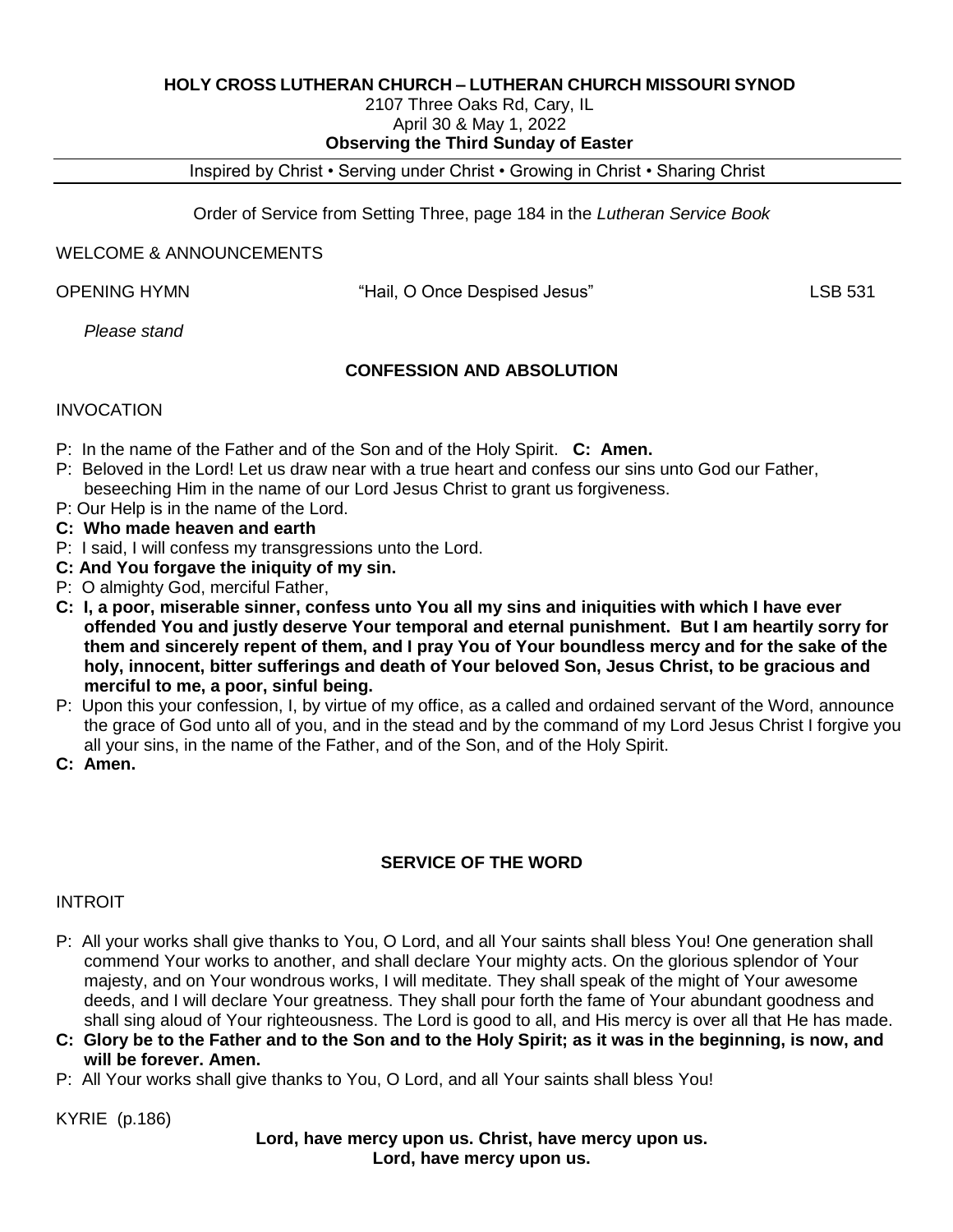## **HOLY CROSS LUTHERAN CHURCH – LUTHERAN CHURCH MISSOURI SYNOD**

## 2107 Three Oaks Rd, Cary, IL April 30 & May 1, 2022 **Observing the Third Sunday of Easter**

Inspired by Christ • Serving under Christ • Growing in Christ • Sharing Christ

Order of Service from Setting Three, page 184 in the *Lutheran Service Book*

#### WELCOME & ANNOUNCEMENTS

OPENING HYMN **The Contract Concert Concert Concert Concert Concert Concert Concert Concert Concert Concert Concert Concert Concert Concert Concert Concert Concert Concert Concert Concert Concert Concert Concert Concert Con** 

*Please stand*

### **CONFESSION AND ABSOLUTION**

### INVOCATION

- P: In the name of the Father and of the Son and of the Holy Spirit. **C: Amen.**
- P: Beloved in the Lord! Let us draw near with a true heart and confess our sins unto God our Father, beseeching Him in the name of our Lord Jesus Christ to grant us forgiveness.
- P: Our Help is in the name of the Lord.
- **C: Who made heaven and earth**
- P: I said, I will confess my transgressions unto the Lord.
- **C: And You forgave the iniquity of my sin.**
- P: O almighty God, merciful Father,
- **C: I, a poor, miserable sinner, confess unto You all my sins and iniquities with which I have ever offended You and justly deserve Your temporal and eternal punishment. But I am heartily sorry for them and sincerely repent of them, and I pray You of Your boundless mercy and for the sake of the holy, innocent, bitter sufferings and death of Your beloved Son, Jesus Christ, to be gracious and merciful to me, a poor, sinful being.**
- P: Upon this your confession, I, by virtue of my office, as a called and ordained servant of the Word, announce the grace of God unto all of you, and in the stead and by the command of my Lord Jesus Christ I forgive you all your sins, in the name of the Father, and of the Son, and of the Holy Spirit.
- **C: Amen.**

### **SERVICE OF THE WORD**

#### INTROIT

- P: All your works shall give thanks to You, O Lord, and all Your saints shall bless You! One generation shall commend Your works to another, and shall declare Your mighty acts. On the glorious splendor of Your majesty, and on Your wondrous works, I will meditate. They shall speak of the might of Your awesome deeds, and I will declare Your greatness. They shall pour forth the fame of Your abundant goodness and shall sing aloud of Your righteousness. The Lord is good to all, and His mercy is over all that He has made.
- **C: Glory be to the Father and to the Son and to the Holy Spirit; as it was in the beginning, is now, and will be forever. Amen.**
- P: All Your works shall give thanks to You, O Lord, and all Your saints shall bless You!

KYRIE (p.186)

**Lord, have mercy upon us. Christ, have mercy upon us. Lord, have mercy upon us.**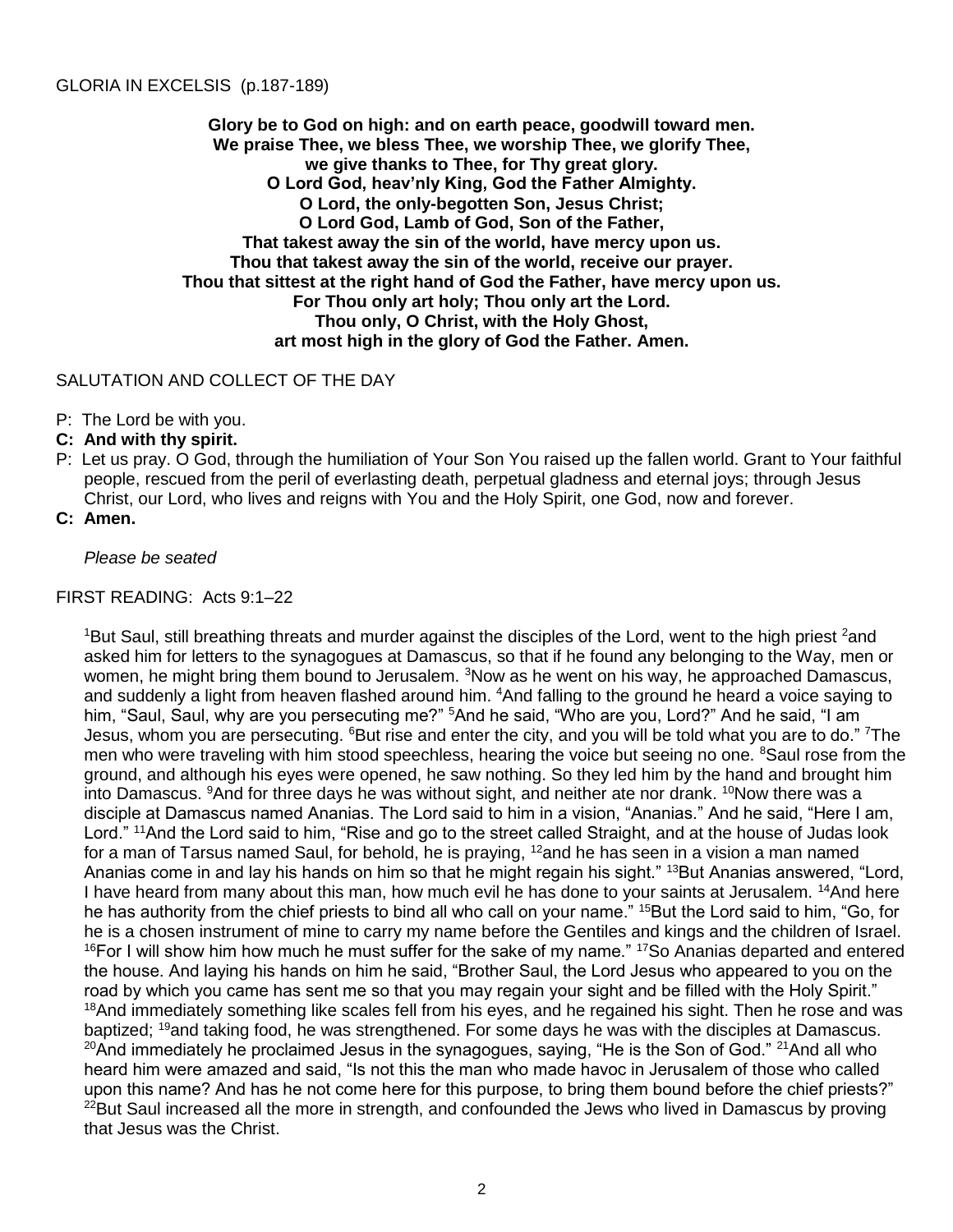**Glory be to God on high: and on earth peace, goodwill toward men. We praise Thee, we bless Thee, we worship Thee, we glorify Thee, we give thanks to Thee, for Thy great glory. O Lord God, heav'nly King, God the Father Almighty. O Lord, the only-begotten Son, Jesus Christ; O Lord God, Lamb of God, Son of the Father, That takest away the sin of the world, have mercy upon us. Thou that takest away the sin of the world, receive our prayer. Thou that sittest at the right hand of God the Father, have mercy upon us. For Thou only art holy; Thou only art the Lord. Thou only, O Christ, with the Holy Ghost, art most high in the glory of God the Father. Amen.**

## SALUTATION AND COLLECT OF THE DAY

- P: The Lord be with you.
- **C: And with thy spirit.**
- P: Let us pray. O God, through the humiliation of Your Son You raised up the fallen world. Grant to Your faithful people, rescued from the peril of everlasting death, perpetual gladness and eternal joys; through Jesus Christ, our Lord, who lives and reigns with You and the Holy Spirit, one God, now and forever.
- **C: Amen.**

### *Please be seated*

### FIRST READING: Acts 9:1–22

<sup>1</sup>But Saul, still breathing threats and murder against the disciples of the Lord, went to the high priest <sup>2</sup>and asked him for letters to the synagogues at Damascus, so that if he found any belonging to the Way, men or women, he might bring them bound to Jerusalem. <sup>3</sup>Now as he went on his way, he approached Damascus, and suddenly a light from heaven flashed around him. <sup>4</sup>And falling to the ground he heard a voice saying to him, "Saul, Saul, why are you persecuting me?" <sup>5</sup>And he said, "Who are you, Lord?" And he said, "I am Jesus, whom you are persecuting. <sup>6</sup>But rise and enter the city, and you will be told what you are to do." The men who were traveling with him stood speechless, hearing the voice but seeing no one. <sup>8</sup>Saul rose from the ground, and although his eyes were opened, he saw nothing. So they led him by the hand and brought him into Damascus. <sup>9</sup>And for three days he was without sight, and neither ate nor drank. <sup>10</sup>Now there was a disciple at Damascus named Ananias. The Lord said to him in a vision, "Ananias." And he said, "Here I am, Lord." <sup>11</sup>And the Lord said to him, "Rise and go to the street called Straight, and at the house of Judas look for a man of Tarsus named Saul, for behold, he is praying, <sup>12</sup>and he has seen in a vision a man named Ananias come in and lay his hands on him so that he might regain his sight." <sup>13</sup>But Ananias answered, "Lord, I have heard from many about this man, how much evil he has done to your saints at Jerusalem. <sup>14</sup>And here he has authority from the chief priests to bind all who call on your name." <sup>15</sup>But the Lord said to him, "Go, for he is a chosen instrument of mine to carry my name before the Gentiles and kings and the children of Israel. <sup>16</sup>For I will show him how much he must suffer for the sake of my name." <sup>17</sup>So Ananias departed and entered the house. And laying his hands on him he said, "Brother Saul, the Lord Jesus who appeared to you on the road by which you came has sent me so that you may regain your sight and be filled with the Holy Spirit." <sup>18</sup>And immediately something like scales fell from his eyes, and he regained his sight. Then he rose and was baptized; <sup>19</sup>and taking food, he was strengthened. For some days he was with the disciples at Damascus. <sup>20</sup>And immediately he proclaimed Jesus in the synagogues, saying, "He is the Son of God." <sup>21</sup>And all who heard him were amazed and said, "Is not this the man who made havoc in Jerusalem of those who called upon this name? And has he not come here for this purpose, to bring them bound before the chief priests?" <sup>22</sup>But Saul increased all the more in strength, and confounded the Jews who lived in Damascus by proving that Jesus was the Christ.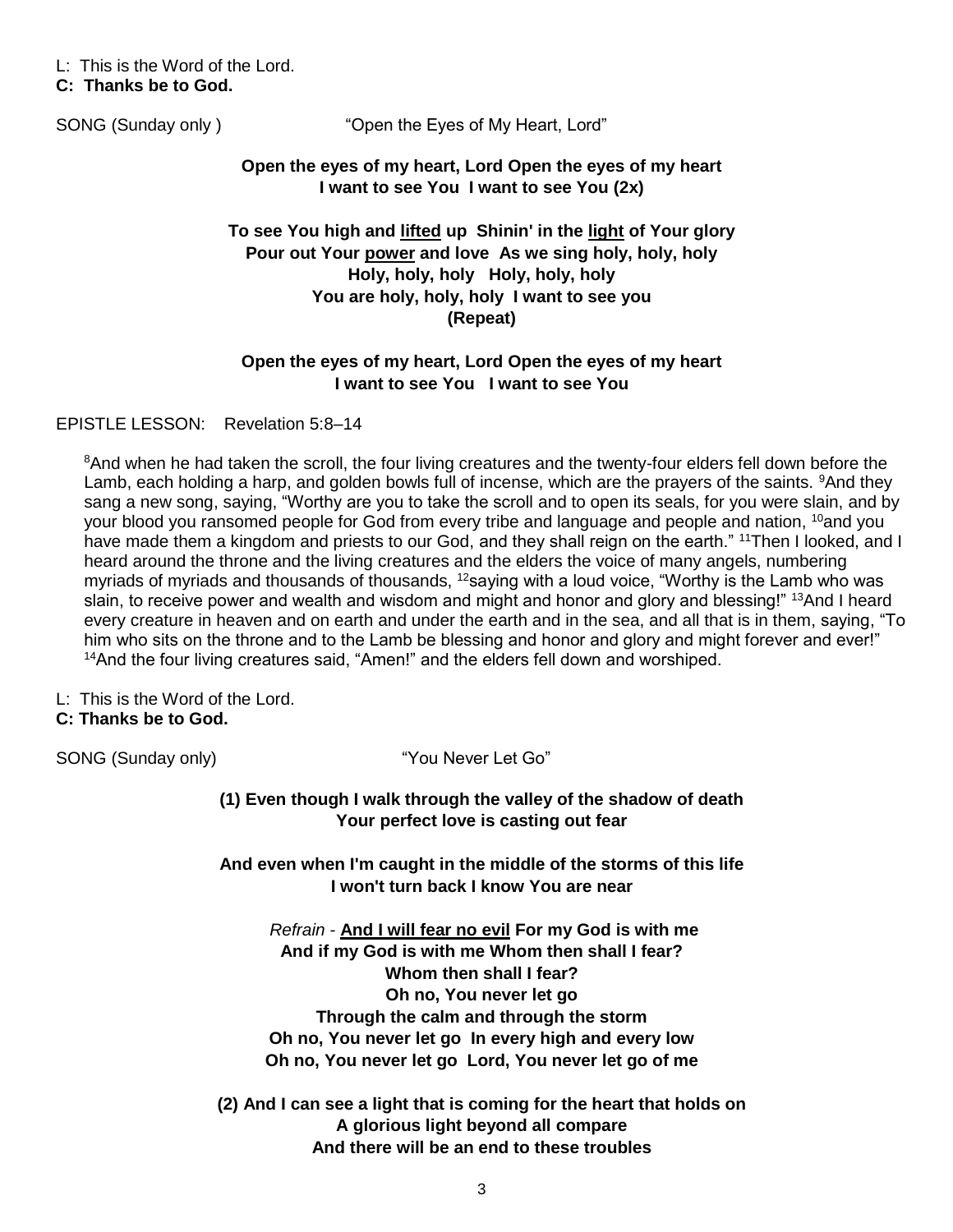## L: This is the Word of the Lord.

**C: Thanks be to God.**

SONG (Sunday only ) The "Open the Eyes of My Heart, Lord"

## **Open the eyes of my heart, Lord Open the eyes of my heart I want to see You I want to see You (2x)**

# **To see You high and [lifted](https://www.definitions.net/definition/lifted) up Shinin' in the [light](https://www.definitions.net/definition/light) of Your glory Pour out Your [power](https://www.definitions.net/definition/power) and love As we sing holy, holy, holy Holy, holy, holy Holy, holy, holy You are holy, holy, holy I want to see you (Repeat)**

## **Open the eyes of my heart, Lord Open the eyes of my heart I want to see You I want to see You**

EPISTLE LESSON: Revelation 5:8–14

<sup>8</sup>And when he had taken the scroll, the four living creatures and the twenty-four elders fell down before the Lamb, each holding a harp, and golden bowls full of incense, which are the prayers of the saints. <sup>9</sup>And they sang a new song, saying, "Worthy are you to take the scroll and to open its seals, for you were slain, and by your blood you ransomed people for God from every tribe and language and people and nation, <sup>10</sup>and you have made them a kingdom and priests to our God, and they shall reign on the earth." <sup>11</sup>Then I looked, and I heard around the throne and the living creatures and the elders the voice of many angels, numbering myriads of myriads and thousands of thousands, <sup>12</sup>saying with a loud voice, "Worthy is the Lamb who was slain, to receive power and wealth and wisdom and might and honor and glory and blessing!" 13And I heard every creature in heaven and on earth and under the earth and in the sea, and all that is in them, saying, "To him who sits on the throne and to the Lamb be blessing and honor and glory and might forever and ever!"  $14$ And the four living creatures said, "Amen!" and the elders fell down and worshiped.

 $L \cdot$  This is the Word of the Lord.

# **C: Thanks be to God.**

SONG (Sunday only) The Control of The Control of Type Wever Let Go"

**(1) Even though I walk through the valley of the shadow of death Your perfect love is casting out fear**

**And even when I'm caught in the middle of the storms of this life I won't turn back I know You are near**

*Refrain -* **And I will fear no evil For my God is with me And if my God is with me Whom then shall I fear? Whom then shall I fear? Oh no, You never let go Through the calm and through the storm Oh no, You never let go In every high and every low Oh no, You never let go Lord, You never let go of me**

**(2) And I can see a light that is coming for the heart that holds on A glorious light beyond all compare And there will be an end to these troubles**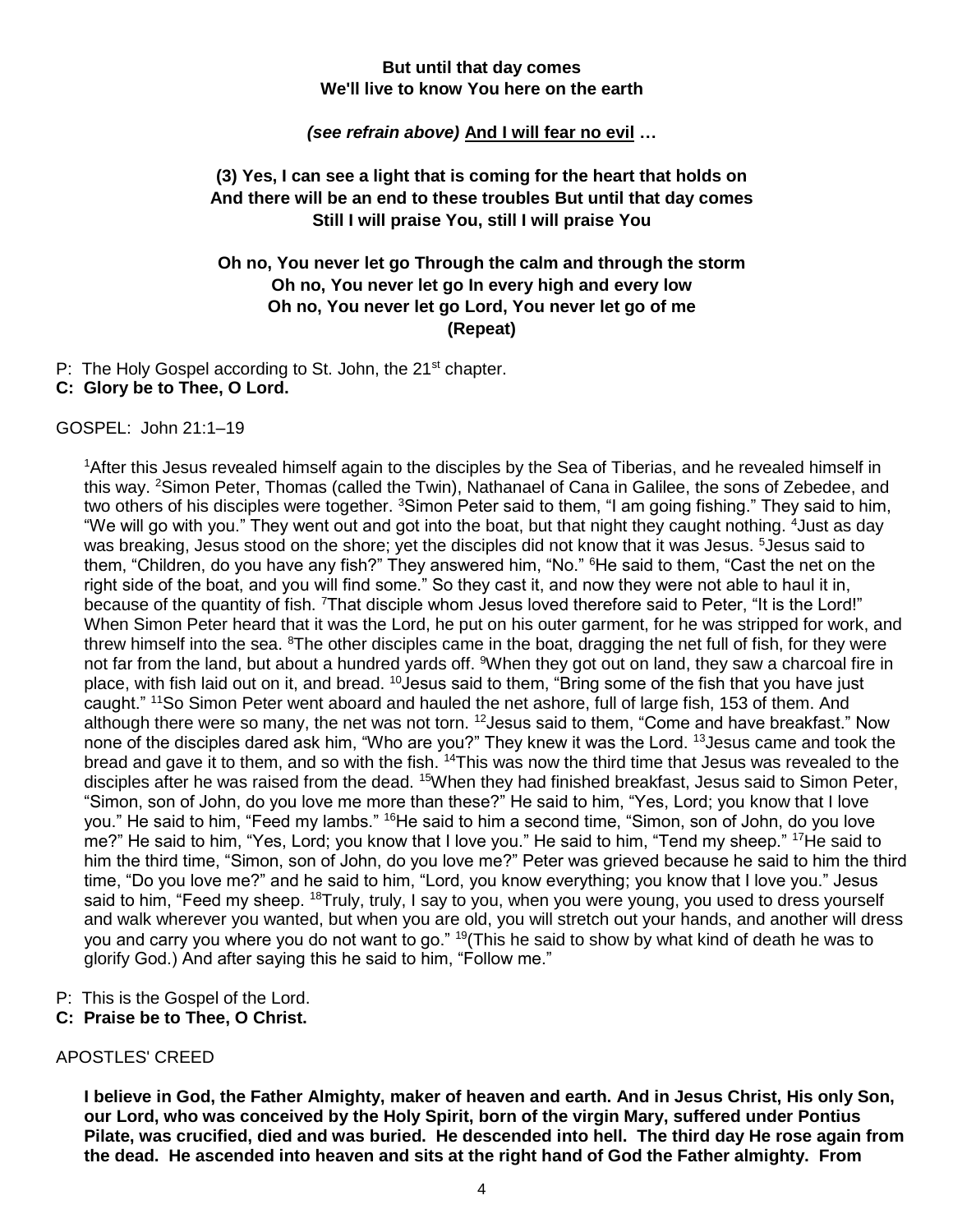## **But until that day comes We'll live to know You here on the earth**

## *(see refrain above)* **And I will fear no evil …**

## **(3) Yes, I can see a light that is coming for the heart that holds on And there will be an end to these troubles But until that day comes Still I will praise You, still I will praise You**

## **Oh no, You never let go Through the calm and through the storm Oh no, You never let go In every high and every low Oh no, You never let go Lord, You never let go of me (Repeat)**

P: The Holy Gospel according to St. John, the 21<sup>st</sup> chapter.

## **C: Glory be to Thee, O Lord.**

GOSPEL: John 21:1–19

<sup>1</sup>After this Jesus revealed himself again to the disciples by the Sea of Tiberias, and he revealed himself in this way. <sup>2</sup>Simon Peter, Thomas (called the Twin), Nathanael of Cana in Galilee, the sons of Zebedee, and two others of his disciples were together. <sup>3</sup>Simon Peter said to them, "I am going fishing." They said to him, "We will go with you." They went out and got into the boat, but that night they caught nothing. <sup>4</sup>Just as day was breaking, Jesus stood on the shore; yet the disciples did not know that it was Jesus. <sup>5</sup>Jesus said to them, "Children, do you have any fish?" They answered him, "No." <sup>6</sup>He said to them, "Cast the net on the right side of the boat, and you will find some." So they cast it, and now they were not able to haul it in, because of the quantity of fish. <sup>7</sup>That disciple whom Jesus loved therefore said to Peter, "It is the Lord!" When Simon Peter heard that it was the Lord, he put on his outer garment, for he was stripped for work, and threw himself into the sea. <sup>8</sup>The other disciples came in the boat, dragging the net full of fish, for they were not far from the land, but about a hundred yards off. <sup>9</sup>When they got out on land, they saw a charcoal fire in place, with fish laid out on it, and bread. <sup>10</sup>Jesus said to them, "Bring some of the fish that you have just caught." <sup>11</sup>So Simon Peter went aboard and hauled the net ashore, full of large fish, 153 of them. And although there were so many, the net was not torn. <sup>12</sup> Jesus said to them, "Come and have breakfast." Now none of the disciples dared ask him, "Who are you?" They knew it was the Lord. <sup>13</sup> Jesus came and took the bread and gave it to them, and so with the fish. <sup>14</sup>This was now the third time that Jesus was revealed to the disciples after he was raised from the dead. <sup>15</sup>When they had finished breakfast, Jesus said to Simon Peter, "Simon, son of John, do you love me more than these?" He said to him, "Yes, Lord; you know that I love you." He said to him, "Feed my lambs." <sup>16</sup>He said to him a second time, "Simon, son of John, do you love me?" He said to him, "Yes, Lord; you know that I love you." He said to him, "Tend my sheep." <sup>17</sup>He said to him the third time, "Simon, son of John, do you love me?" Peter was grieved because he said to him the third time, "Do you love me?" and he said to him, "Lord, you know everything; you know that I love you." Jesus said to him, "Feed my sheep. <sup>18</sup>Truly, truly, I say to you, when you were young, you used to dress yourself and walk wherever you wanted, but when you are old, you will stretch out your hands, and another will dress you and carry you where you do not want to go." <sup>19</sup>(This he said to show by what kind of death he was to glorify God.) And after saying this he said to him, "Follow me."

- P: This is the Gospel of the Lord.
- **C: Praise be to Thee, O Christ.**

## APOSTLES' CREED

**I believe in God, the Father Almighty, maker of heaven and earth. And in Jesus Christ, His only Son, our Lord, who was conceived by the Holy Spirit, born of the virgin Mary, suffered under Pontius Pilate, was crucified, died and was buried. He descended into hell. The third day He rose again from the dead. He ascended into heaven and sits at the right hand of God the Father almighty. From**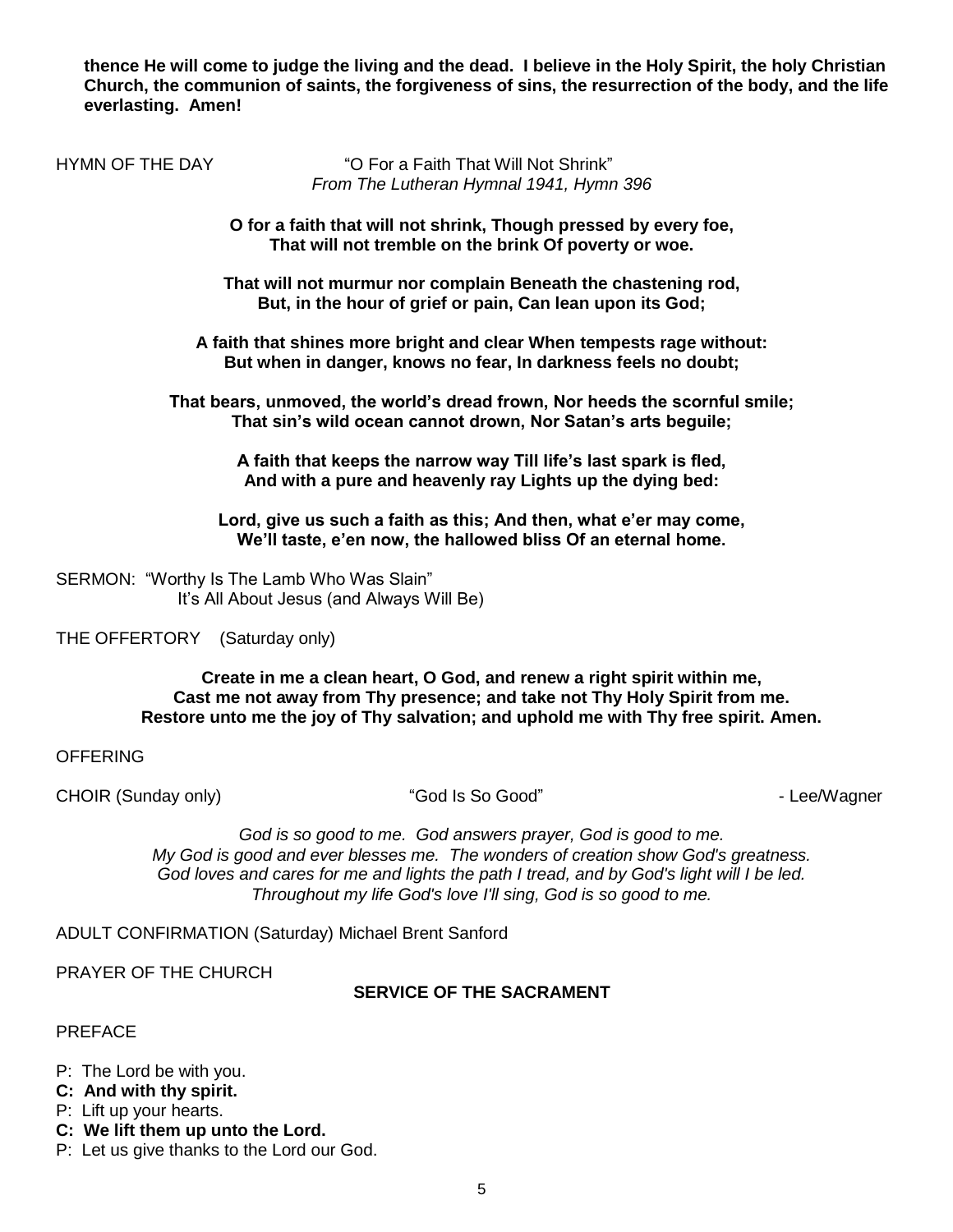**thence He will come to judge the living and the dead. I believe in the Holy Spirit, the holy Christian Church, the communion of saints, the forgiveness of sins, the resurrection of the body, and the life everlasting. Amen!**

HYMN OF THE DAY "O For a Faith That Will Not Shrink" *From The Lutheran Hymnal 1941, Hymn 396*

> **O for a faith that will not shrink, Though pressed by every foe, That will not tremble on the brink Of poverty or woe.**

**That will not murmur nor complain Beneath the chastening rod, But, in the hour of grief or pain, Can lean upon its God;**

**A faith that shines more bright and clear When tempests rage without: But when in danger, knows no fear, In darkness feels no doubt;**

**That bears, unmoved, the world's dread frown, Nor heeds the scornful smile; That sin's wild ocean cannot drown, Nor Satan's arts beguile;**

> **A faith that keeps the narrow way Till life's last spark is fled, And with a pure and heavenly ray Lights up the dying bed:**

**Lord, give us such a faith as this; And then, what e'er may come, We'll taste, e'en now, the hallowed bliss Of an eternal home.**

SERMON: "Worthy Is The Lamb Who Was Slain" It's All About Jesus (and Always Will Be)

THE OFFERTORY (Saturday only)

**Create in me a clean heart, O God, and renew a right spirit within me, Cast me not away from Thy presence; and take not Thy Holy Spirit from me. Restore unto me the joy of Thy salvation; and uphold me with Thy free spirit. Amen.** 

### **OFFERING**

CHOIR (Sunday only) The "God Is So Good" Figure 2014 CHOIR (Sunday only)

*God is so good to me. God answers prayer, God is good to me. My God is good and ever blesses me. The wonders of creation show God's greatness. God loves and cares for me and lights the path I tread, and by God's light will I be led. Throughout my life God's love I'll sing, God is so good to me.*

ADULT CONFIRMATION (Saturday) Michael Brent Sanford

PRAYER OF THE CHURCH

## **SERVICE OF THE SACRAMENT**

### PREFACE

- P: The Lord be with you.
- **C: And with thy spirit.**
- P: Lift up your hearts.
- **C: We lift them up unto the Lord.**
- P: Let us give thanks to the Lord our God.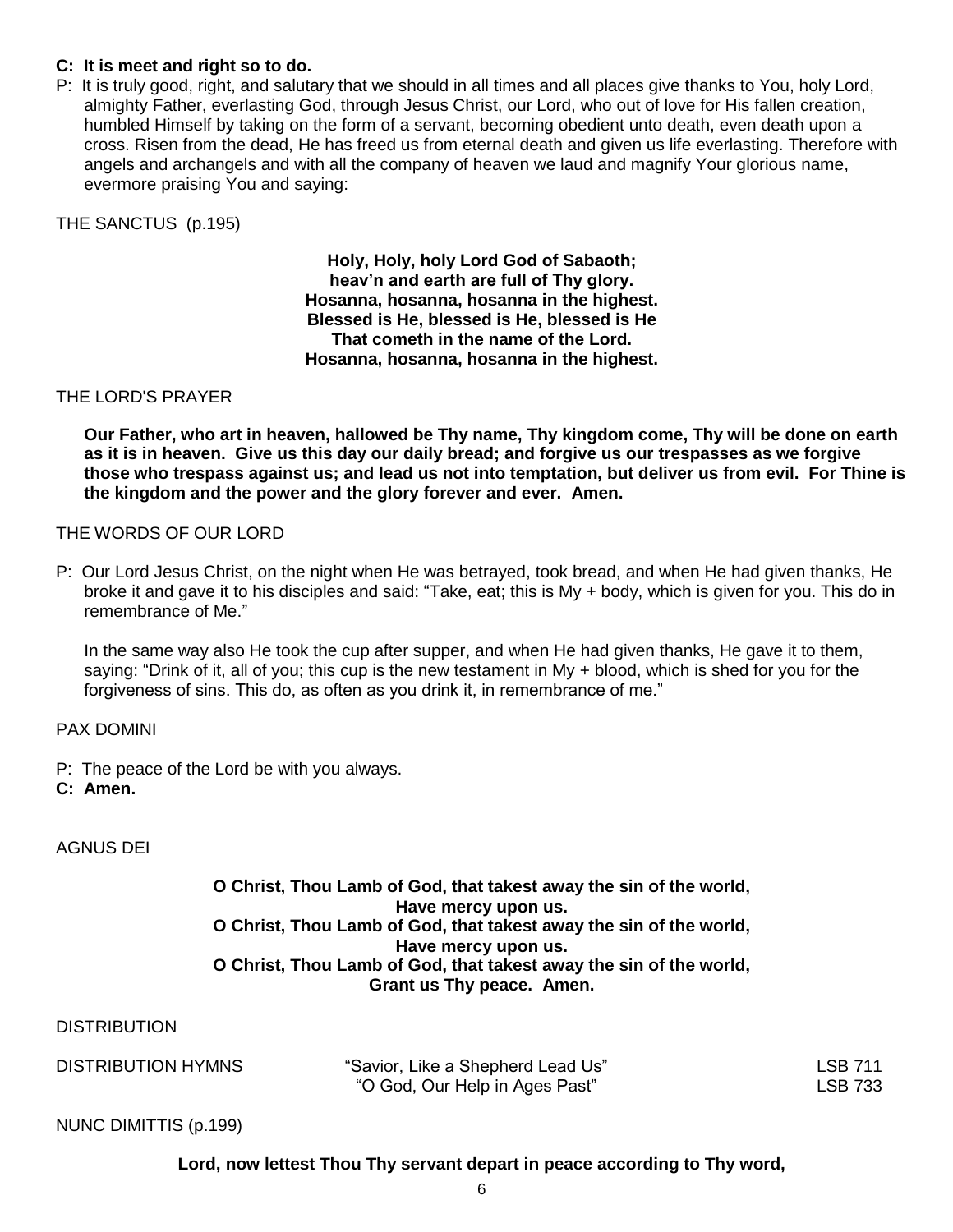## **C: It is meet and right so to do.**

P: It is truly good, right, and salutary that we should in all times and all places give thanks to You, holy Lord, almighty Father, everlasting God, through Jesus Christ, our Lord, who out of love for His fallen creation, humbled Himself by taking on the form of a servant, becoming obedient unto death, even death upon a cross. Risen from the dead, He has freed us from eternal death and given us life everlasting. Therefore with angels and archangels and with all the company of heaven we laud and magnify Your glorious name, evermore praising You and saying:

THE SANCTUS (p.195)

**Holy, Holy, holy Lord God of Sabaoth; heav'n and earth are full of Thy glory. Hosanna, hosanna, hosanna in the highest. Blessed is He, blessed is He, blessed is He That cometh in the name of the Lord. Hosanna, hosanna, hosanna in the highest.**

### THE LORD'S PRAYER

**Our Father, who art in heaven, hallowed be Thy name, Thy kingdom come, Thy will be done on earth as it is in heaven. Give us this day our daily bread; and forgive us our trespasses as we forgive those who trespass against us; and lead us not into temptation, but deliver us from evil. For Thine is the kingdom and the power and the glory forever and ever. Amen.**

## THE WORDS OF OUR LORD

P: Our Lord Jesus Christ, on the night when He was betrayed, took bread, and when He had given thanks, He broke it and gave it to his disciples and said: "Take, eat; this is My + body, which is given for you. This do in remembrance of Me."

In the same way also He took the cup after supper, and when He had given thanks, He gave it to them, saying: "Drink of it, all of you; this cup is the new testament in My + blood, which is shed for you for the forgiveness of sins. This do, as often as you drink it, in remembrance of me."

### PAX DOMINI

P: The peace of the Lord be with you always.

**C: Amen.**

## AGNUS DEI

**O Christ, Thou Lamb of God, that takest away the sin of the world, Have mercy upon us. O Christ, Thou Lamb of God, that takest away the sin of the world, Have mercy upon us. O Christ, Thou Lamb of God, that takest away the sin of the world, Grant us Thy peace. Amen.**

**DISTRIBUTION** 

| <b>DISTRIBUTION HYMNS</b> | "Savior, Like a Shepherd Lead Us" | <b>LSB 711</b> |
|---------------------------|-----------------------------------|----------------|
|                           | "O God, Our Help in Ages Past"    | <b>LSB 733</b> |

NUNC DIMITTIS (p.199)

**Lord, now lettest Thou Thy servant depart in peace according to Thy word,**